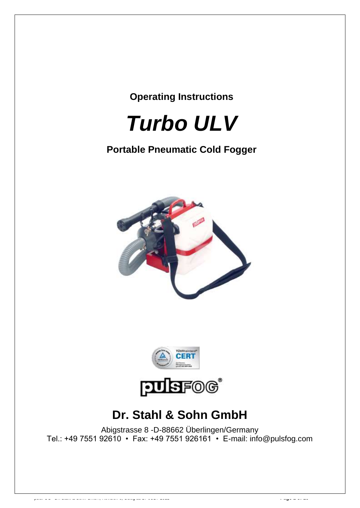**Operating Instructions**

*Turbo ULV*

**Portable Pneumatic Cold Fogger**







# **Dr. Stahl & Sohn GmbH**

Abigstrasse 8 -D-88662 Überlingen/Germany Tel.: +49 7551 92610 • Fax: +49 7551 926161 • E-mail: info@pulsfog.com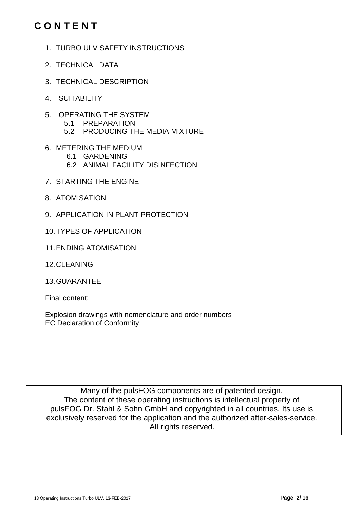## **C O N T E N T**

- 1. TURBO ULV SAFETY INSTRUCTIONS
- 2. TECHNICAL DATA
- 3. TECHNICAL DESCRIPTION
- 4. SUITABILITY
- 5. OPERATING THE SYSTEM
	- 5.1 PREPARATION
	- 5.2 PRODUCING THE MEDIA MIXTURE
- 6. METERING THE MEDIUM
	- 6.1 GARDENING
	- 6.2 ANIMAL FACILITY DISINFECTION
- 7. STARTING THE ENGINE
- 8. ATOMISATION
- 9. APPLICATION IN PLANT PROTECTION
- 10.TYPES OF APPLICATION
- 11.ENDING ATOMISATION
- 12.CLEANING
- 13.GUARANTEE

Final content:

Explosion drawings with nomenclature and order numbers EC Declaration of Conformity

Many of the pulsFOG components are of patented design. The content of these operating instructions is intellectual property of pulsFOG Dr. Stahl & Sohn GmbH and copyrighted in all countries. Its use is exclusively reserved for the application and the authorized after-sales-service. All rights reserved.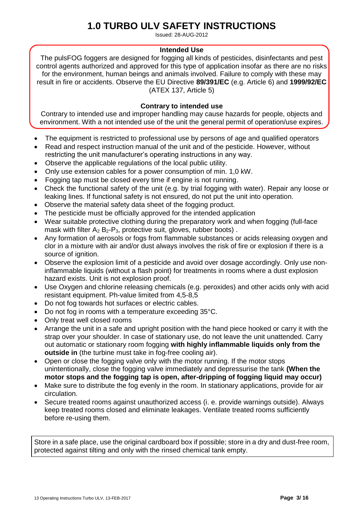### **1.0 TURBO ULV SAFETY INSTRUCTIONS**

Issued: 28-AUG-2012

#### **Intended Use**

The pulsFOG foggers are designed for fogging all kinds of pesticides, disinfectants and pest control agents authorized and approved for this type of application insofar as there are no risks for the environment, human beings and animals involved. Failure to comply with these may result in fire or accidents. Observe the EU Directive **89/391/EC** (e.g. Article 6) and **1999/92/EC** (ATEX 137, Article 5)

#### **Contrary to intended use**

Contrary to intended use and improper handling may cause hazards for people, objects and environment. With a not intended use of the unit the general permit of operation/use expires.

- The equipment is restricted to professional use by persons of age and qualified operators
- Read and respect instruction manual of the unit and of the pesticide. However, without restricting the unit manufacturer's operating instructions in any way.
- Observe the applicable regulations of the local public utility.
- Only use extension cables for a power consumption of min. 1,0 kW.
- Fogging tap must be closed every time if engine is not running.
- Check the functional safety of the unit (e.g. by trial fogging with water). Repair any loose or leaking lines. If functional safety is not ensured, do not put the unit into operation.
- Observe the material safety data sheet of the fogging product.
- The pesticide must be officially approved for the intended application
- Wear suitable protective clothing during the preparatory work and when fogging (full-face mask with filter  $A_2$   $B_2$ - $P_3$ , protective suit, gloves, rubber boots).
- Any formation of aerosols or fogs from flammable substances or acids releasing oxygen and clor in a mixture with air and/or dust always involves the risk of fire or explosion if there is a source of ignition.
- Observe the explosion limit of a pesticide and avoid over dosage accordingly. Only use noninflammable liquids (without a flash point) for treatments in rooms where a dust explosion hazard exists. Unit is not explosion proof.
- Use Oxygen and chlorine releasing chemicals (e.g. peroxides) and other acids only with acid resistant equipment. Ph-value limited from 4,5-8,5
- Do not fog towards hot surfaces or electric cables.
- Do not fog in rooms with a temperature exceeding 35°C.
- Only treat well closed rooms
- Arrange the unit in a safe and upright position with the hand piece hooked or carry it with the strap over your shoulder. In case of stationary use, do not leave the unit unattended. Carry out automatic or stationary room fogging **with highly inflammable liquids only from the outside in** (the turbine must take in fog-free cooling air).
- Open or close the fogging valve only with the motor running. If the motor stops unintentionally, close the fogging valve immediately and depressurise the tank **(When the motor stops and the fogging tap is open, after-dripping of fogging liquid may occur)**
- Make sure to distribute the fog evenly in the room. In stationary applications, provide for air circulation.
- Secure treated rooms against unauthorized access (i. e. provide warnings outside). Always keep treated rooms closed and eliminate leakages. Ventilate treated rooms sufficiently before re-using them.

Store in a safe place, use the original cardboard box if possible; store in a dry and dust-free room, protected against tilting and only with the rinsed chemical tank empty.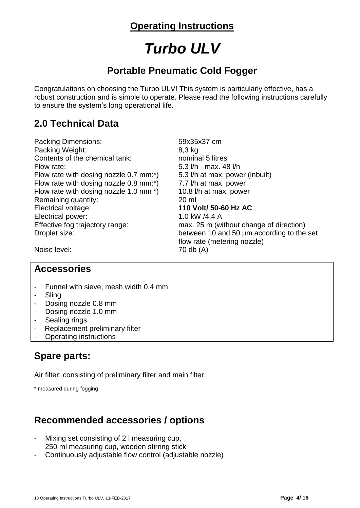### **Operating Instructions**

# *Turbo ULV*

### **Portable Pneumatic Cold Fogger**

Congratulations on choosing the Turbo ULV! This system is particularly effective, has a robust construction and is simple to operate. Please read the following instructions carefully to ensure the system's long operational life.

#### **2.0 Technical Data**

Packing Dimensions: 59x35x37 cm Packing Weight: 8,3 kg Contents of the chemical tank: nominal 5 litres Flow rate: 5.3 l/h - max. 48 l/h Flow rate with dosing nozzle 0.7 mm:\*) 5.3 l/h at max. power (inbuilt) Flow rate with dosing nozzle 0.8 mm:\*) 7.7 l/h at max. power Flow rate with dosing nozzle 1.0 mm<sup>\*</sup>) 10.8 l/h at max. power Remaining quantity: 20 ml Electrical voltage: **110 Volt/ 50-60 Hz AC** Electrical power: 1.0 kW /4.4 A

Effective fog trajectory range: max. 25 m (without change of direction) Droplet size: between 10 and 50 µm according to the set flow rate (metering nozzle)

Noise level: 70 db (A)

#### **Accessories**

- Funnel with sieve, mesh width 0.4 mm
- Sling
- Dosing nozzle 0.8 mm
- Dosing nozzle 1.0 mm
- Sealing rings
- Replacement preliminary filter
- Operating instructions

#### **Spare parts:**

Air filter: consisting of preliminary filter and main filter

\* measured during fogging

### **Recommended accessories / options**

- Mixing set consisting of 2 l measuring cup, 250 ml measuring cup, wooden stirring stick
- Continuously adjustable flow control (adjustable nozzle)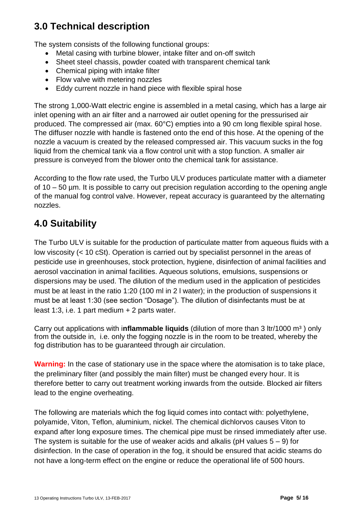## **3.0 Technical description**

The system consists of the following functional groups:

- Metal casing with turbine blower, intake filter and on-off switch
- Sheet steel chassis, powder coated with transparent chemical tank
- Chemical piping with intake filter
- Flow valve with metering nozzles
- Eddy current nozzle in hand piece with flexible spiral hose

The strong 1,000-Watt electric engine is assembled in a metal casing, which has a large air inlet opening with an air filter and a narrowed air outlet opening for the pressurised air produced. The compressed air (max. 60°C) empties into a 90 cm long flexible spiral hose. The diffuser nozzle with handle is fastened onto the end of this hose. At the opening of the nozzle a vacuum is created by the released compressed air. This vacuum sucks in the fog liquid from the chemical tank via a flow control unit with a stop function. A smaller air pressure is conveyed from the blower onto the chemical tank for assistance.

According to the flow rate used, the Turbo ULV produces particulate matter with a diameter of 10 – 50 µm. It is possible to carry out precision regulation according to the opening angle of the manual fog control valve. However, repeat accuracy is guaranteed by the alternating nozzles.

### **4.0 Suitability**

The Turbo ULV is suitable for the production of particulate matter from aqueous fluids with a low viscosity (< 10 cSt). Operation is carried out by specialist personnel in the areas of pesticide use in greenhouses, stock protection, hygiene, disinfection of animal facilities and aerosol vaccination in animal facilities. Aqueous solutions, emulsions, suspensions or dispersions may be used. The dilution of the medium used in the application of pesticides must be at least in the ratio 1:20 (100 ml in 2 l water); in the production of suspensions it must be at least 1:30 (see section "Dosage"). The dilution of disinfectants must be at least 1:3, i.e. 1 part medium + 2 parts water.

Carry out applications with inflammable liquids (dilution of more than 3 ltr/1000 m<sup>3</sup>) only from the outside in, i.e. only the fogging nozzle is in the room to be treated, whereby the fog distribution has to be guaranteed through air circulation.

**Warning:** In the case of stationary use in the space where the atomisation is to take place, the preliminary filter (and possibly the main filter) must be changed every hour. It is therefore better to carry out treatment working inwards from the outside. Blocked air filters lead to the engine overheating.

The following are materials which the fog liquid comes into contact with: polyethylene, polyamide, Viton, Teflon, aluminium, nickel. The chemical dichlorvos causes Viton to expand after long exposure times. The chemical pipe must be rinsed immediately after use. The system is suitable for the use of weaker acids and alkalis ( $pH$  values  $5 - 9$ ) for disinfection. In the case of operation in the fog, it should be ensured that acidic steams do not have a long-term effect on the engine or reduce the operational life of 500 hours.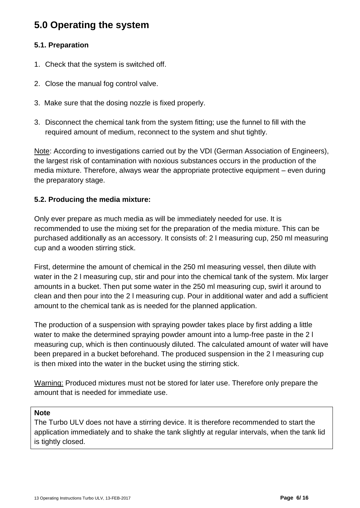### **5.0 Operating the system**

#### **5.1. Preparation**

- 1. Check that the system is switched off.
- 2. Close the manual fog control valve.
- 3. Make sure that the dosing nozzle is fixed properly.
- 3. Disconnect the chemical tank from the system fitting; use the funnel to fill with the required amount of medium, reconnect to the system and shut tightly.

Note: According to investigations carried out by the VDI (German Association of Engineers), the largest risk of contamination with noxious substances occurs in the production of the media mixture. Therefore, always wear the appropriate protective equipment – even during the preparatory stage.

#### **5.2. Producing the media mixture:**

Only ever prepare as much media as will be immediately needed for use. It is recommended to use the mixing set for the preparation of the media mixture. This can be purchased additionally as an accessory. It consists of: 2 l measuring cup, 250 ml measuring cup and a wooden stirring stick.

First, determine the amount of chemical in the 250 ml measuring vessel, then dilute with water in the 2 l measuring cup, stir and pour into the chemical tank of the system. Mix larger amounts in a bucket. Then put some water in the 250 ml measuring cup, swirl it around to clean and then pour into the 2 l measuring cup. Pour in additional water and add a sufficient amount to the chemical tank as is needed for the planned application.

The production of a suspension with spraying powder takes place by first adding a little water to make the determined spraying powder amount into a lump-free paste in the 2 l measuring cup, which is then continuously diluted. The calculated amount of water will have been prepared in a bucket beforehand. The produced suspension in the 2 l measuring cup is then mixed into the water in the bucket using the stirring stick.

Warning: Produced mixtures must not be stored for later use. Therefore only prepare the amount that is needed for immediate use.

#### **Note**

The Turbo ULV does not have a stirring device. It is therefore recommended to start the application immediately and to shake the tank slightly at regular intervals, when the tank lid is tightly closed.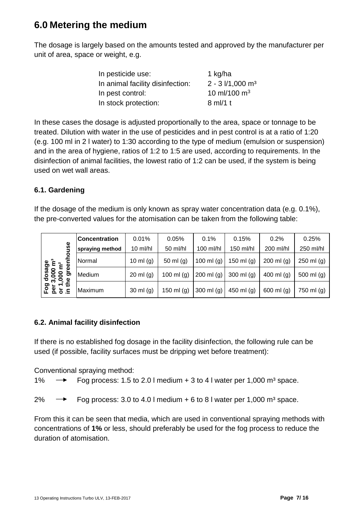### **6.0 Metering the medium**

The dosage is largely based on the amounts tested and approved by the manufacturer per unit of area, space or weight, e.g.

| In pesticide use:                | 1 kg/ha                          |
|----------------------------------|----------------------------------|
| In animal facility disinfection: | $2 - 3$ $1/1,000$ m <sup>3</sup> |
| In pest control:                 | 10 ml/100 m <sup>3</sup>         |
| In stock protection:             | $8$ ml/1 t                       |

In these cases the dosage is adjusted proportionally to the area, space or tonnage to be treated. Dilution with water in the use of pesticides and in pest control is at a ratio of 1:20 (e.g. 100 ml in 2 l water) to 1:30 according to the type of medium (emulsion or suspension) and in the area of hygiene, ratios of 1:2 to 1:5 are used, according to requirements. In the disinfection of animal facilities, the lowest ratio of 1:2 can be used, if the system is being used on wet wall areas.

#### **6.1. Gardening**

If the dosage of the medium is only known as spray water concentration data (e.g. 0.1%), the pre-converted values for the atomisation can be taken from the following table:

|  |                                                                                                                                             | <b>Concentration</b> | 0.01%               | 0.05%        | 0.1%                 | 0.15%        | 0.2%                 | 0.25%        |
|--|---------------------------------------------------------------------------------------------------------------------------------------------|----------------------|---------------------|--------------|----------------------|--------------|----------------------|--------------|
|  | မ္တ<br>Έ<br>$\overline{\mathbf{v}}$                                                                                                         | spraying method      | $10$ ml/hl          | 50 ml/hl     | 100 ml/hl            | 150 ml/hl    | 200 ml/hl            | 250 ml/hl    |
|  |                                                                                                                                             | Normal               | 10 ml $(g)$         | 50 ml $(q)$  | 100 ml $(g)$         | 150 ml $(q)$ | $200 \text{ ml}$ (g) | $250$ ml (g) |
|  | $\frac{1}{2}$<br>$\frac{1}{2}$<br>$\frac{1}{2}$<br>$\frac{1}{2}$<br>$\frac{1}{2}$<br>$\frac{1}{2}$<br>$\frac{1}{2}$<br>ත<br>ಕೆ ಸ್<br>ω<br>0 | Medium               | $20 \text{ ml} (q)$ | 100 ml $(g)$ | $200 \text{ ml} (q)$ | 300 ml $(q)$ | 400 ml $(q)$         | 500 ml $(g)$ |
|  | Fog<br>per<br>≘                                                                                                                             | <b>Maximum</b>       | $30 \text{ ml}$ (g) | 150 ml $(g)$ | 300 ml $(g)$         | 450 ml $(g)$ | $600$ ml $(q)$       | 750 ml (g)   |

#### **6.2. Animal facility disinfection**

If there is no established fog dosage in the facility disinfection, the following rule can be used (if possible, facility surfaces must be dripping wet before treatment):

Conventional spraying method:

1%  $\rightarrow$  Fog process: 1.5 to 2.0 l medium + 3 to 4 l water per 1,000 m<sup>3</sup> space.

2%  $\rightarrow$  Fog process: 3.0 to 4.0 l medium + 6 to 8 l water per 1,000 m<sup>3</sup> space.

From this it can be seen that media, which are used in conventional spraying methods with concentrations of **1%** or less, should preferably be used for the fog process to reduce the duration of atomisation.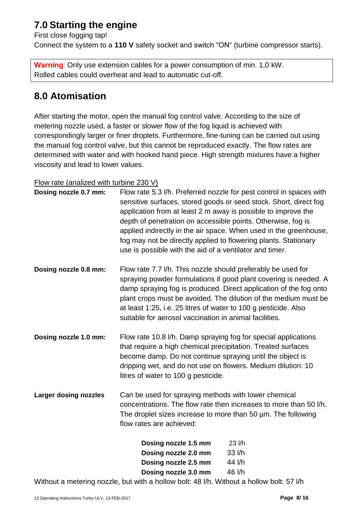## **7.0 Starting the engine**

First close fogging tap!

Connect the system to a **110 V** safety socket and switch "ON" (turbine compressor starts).

**Warning**: Only use extension cables for a power consumption of min. 1,0 kW. Rolled cables could overheat and lead to automatic cut-off.

## **8.0 Atomisation**

After starting the motor, open the manual fog control valve. According to the size of metering nozzle used, a faster or slower flow of the fog liquid is achieved with correspondingly larger or finer droplets. Furthermore, fine-tuning can be carried out using the manual fog control valve, but this cannot be reproduced exactly. The flow rates are determined with water and with hooked hand piece. High strength mixtures have a higher viscosity and lead to lower values.

Flow rate (analized with turbine 230 V)

| Dosing nozzle 0.7 mm:        | Flow rate 5.3 I/h. Preferred nozzle for pest control in spaces with<br>sensitive surfaces, stored goods or seed stock. Short, direct fog<br>application from at least 2 m away is possible to improve the<br>depth of penetration on accessible points. Otherwise, fog is<br>fog may not be directly applied to flowering plants. Stationary<br>use is possible with the aid of a ventilator and timer. | applied indirectly in the air space. When used in the greenhouse, |  |
|------------------------------|---------------------------------------------------------------------------------------------------------------------------------------------------------------------------------------------------------------------------------------------------------------------------------------------------------------------------------------------------------------------------------------------------------|-------------------------------------------------------------------|--|
| Dosing nozzle 0.8 mm:        | Flow rate 7.7 I/h. This nozzle should preferably be used for<br>spraying powder formulations if good plant covering is needed. A<br>damp spraying fog is produced. Direct application of the fog onto<br>plant crops must be avoided. The dilution of the medium must be<br>at least 1:25, i.e. 25 litres of water to 100 g pesticide. Also<br>suitable for aerosol vaccination in animal facilities.   |                                                                   |  |
| Dosing nozzle 1.0 mm:        | Flow rate 10.8 I/h. Damp spraying fog for special applications<br>that require a high chemical precipitation. Treated surfaces<br>become damp. Do not continue spraying until the object is<br>dripping wet, and do not use on flowers. Medium dilution: 10<br>litres of water to 100 g pesticide.                                                                                                      |                                                                   |  |
| <b>Larger dosing nozzles</b> | Can be used for spraying methods with lower chemical<br>concentrations. The flow rate then increases to more than 50 l/h.<br>The droplet sizes increase to more than 50 µm. The following<br>flow rates are achieved:                                                                                                                                                                                   |                                                                   |  |
|                              | Dosing nozzle 1.5 mm                                                                                                                                                                                                                                                                                                                                                                                    | 23 l/h                                                            |  |
|                              | Dosing nozzle 2.0 mm                                                                                                                                                                                                                                                                                                                                                                                    | 33 l/h                                                            |  |
|                              | Dosing nozzle 2.5 mm                                                                                                                                                                                                                                                                                                                                                                                    | 44 l/h                                                            |  |
|                              | Dosing nozzle 3.0 mm                                                                                                                                                                                                                                                                                                                                                                                    | 46 l/h                                                            |  |

Without a metering nozzle, but with a hollow bolt: 48 l/h. Without a hollow bolt: 57 l/h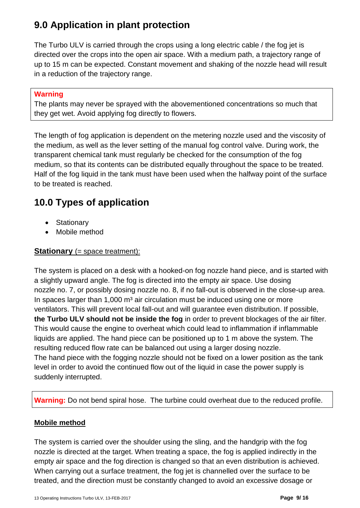## **9.0 Application in plant protection**

The Turbo ULV is carried through the crops using a long electric cable / the fog jet is directed over the crops into the open air space. With a medium path, a trajectory range of up to 15 m can be expected. Constant movement and shaking of the nozzle head will result in a reduction of the trajectory range.

#### **Warning**

The plants may never be sprayed with the abovementioned concentrations so much that they get wet. Avoid applying fog directly to flowers.

The length of fog application is dependent on the metering nozzle used and the viscosity of the medium, as well as the lever setting of the manual fog control valve. During work, the transparent chemical tank must regularly be checked for the consumption of the fog medium, so that its contents can be distributed equally throughout the space to be treated. Half of the fog liquid in the tank must have been used when the halfway point of the surface to be treated is reached.

### **10.0 Types of application**

- Stationary
- Mobile method

#### **Stationary** (= space treatment):

The system is placed on a desk with a hooked-on fog nozzle hand piece, and is started with a slightly upward angle. The fog is directed into the empty air space. Use dosing nozzle no. 7, or possibly dosing nozzle no. 8, if no fall-out is observed in the close-up area. In spaces larger than  $1,000$  m<sup>3</sup> air circulation must be induced using one or more ventilators. This will prevent local fall-out and will guarantee even distribution. If possible, **the Turbo ULV should not be inside the fog** in order to prevent blockages of the air filter. This would cause the engine to overheat which could lead to inflammation if inflammable liquids are applied. The hand piece can be positioned up to 1 m above the system. The resulting reduced flow rate can be balanced out using a larger dosing nozzle. The hand piece with the fogging nozzle should not be fixed on a lower position as the tank level in order to avoid the continued flow out of the liquid in case the power supply is suddenly interrupted.

**Warning:** Do not bend spiral hose. The turbine could overheat due to the reduced profile.

#### **Mobile method**

The system is carried over the shoulder using the sling, and the handgrip with the fog nozzle is directed at the target. When treating a space, the fog is applied indirectly in the empty air space and the fog direction is changed so that an even distribution is achieved. When carrying out a surface treatment, the fog jet is channelled over the surface to be treated, and the direction must be constantly changed to avoid an excessive dosage or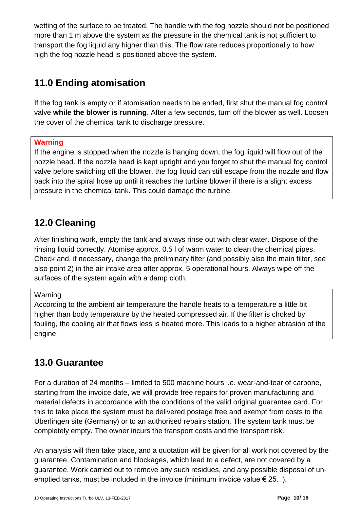wetting of the surface to be treated. The handle with the fog nozzle should not be positioned more than 1 m above the system as the pressure in the chemical tank is not sufficient to transport the fog liquid any higher than this. The flow rate reduces proportionally to how high the fog nozzle head is positioned above the system.

## **11.0 Ending atomisation**

If the fog tank is empty or if atomisation needs to be ended, first shut the manual fog control valve **while the blower is running**. After a few seconds, turn off the blower as well. Loosen the cover of the chemical tank to discharge pressure.

#### **Warning**

If the engine is stopped when the nozzle is hanging down, the fog liquid will flow out of the nozzle head. If the nozzle head is kept upright and you forget to shut the manual fog control valve before switching off the blower, the fog liquid can still escape from the nozzle and flow back into the spiral hose up until it reaches the turbine blower if there is a slight excess pressure in the chemical tank. This could damage the turbine.

## **12.0 Cleaning**

After finishing work, empty the tank and always rinse out with clear water. Dispose of the rinsing liquid correctly. Atomise approx. 0.5 l of warm water to clean the chemical pipes. Check and, if necessary, change the preliminary filter (and possibly also the main filter, see also point 2) in the air intake area after approx. 5 operational hours. Always wipe off the surfaces of the system again with a damp cloth.

#### Warning

According to the ambient air temperature the handle heats to a temperature a little bit higher than body temperature by the heated compressed air. If the filter is choked by fouling, the cooling air that flows less is heated more. This leads to a higher abrasion of the engine.

### **13.0 Guarantee**

For a duration of 24 months – limited to 500 machine hours i.e. wear-and-tear of carbone, starting from the invoice date, we will provide free repairs for proven manufacturing and material defects in accordance with the conditions of the valid original guarantee card. For this to take place the system must be delivered postage free and exempt from costs to the Überlingen site (Germany) or to an authorised repairs station. The system tank must be completely empty. The owner incurs the transport costs and the transport risk.

An analysis will then take place, and a quotation will be given for all work not covered by the guarantee. Contamination and blockages, which lead to a defect, are not covered by a guarantee. Work carried out to remove any such residues, and any possible disposal of unemptied tanks, must be included in the invoice (minimum invoice value  $\epsilon$  25.).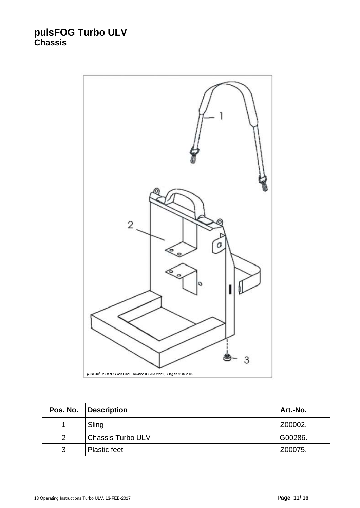#### **pulsFOG Turbo ULV Chassis**



|               | Pos. No.   Description   | Art.-No. |
|---------------|--------------------------|----------|
|               | Sling                    | Z00002.  |
| $\mathcal{P}$ | <b>Chassis Turbo ULV</b> | G00286.  |
| 3             | <b>Plastic feet</b>      | Z00075.  |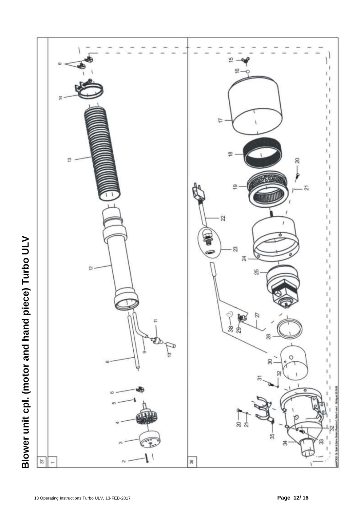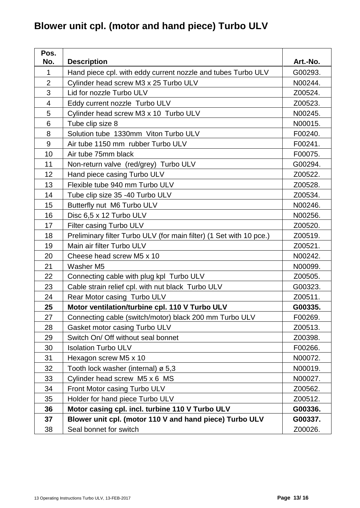# **Blower unit cpl. (motor and hand piece) Turbo ULV**

| Pos.<br>No.    | <b>Description</b>                                                  | Art.-No. |
|----------------|---------------------------------------------------------------------|----------|
| 1              | Hand piece cpl. with eddy current nozzle and tubes Turbo ULV        | G00293.  |
| $\overline{2}$ | Cylinder head screw M3 x 25 Turbo ULV                               | N00244.  |
| 3              | Lid for nozzle Turbo ULV                                            | Z00524.  |
| $\overline{4}$ | Eddy current nozzle Turbo ULV                                       | Z00523.  |
| 5              | Cylinder head screw M3 x 10 Turbo ULV                               | N00245.  |
| 6              | Tube clip size 8                                                    | N00015.  |
| 8              | Solution tube 1330mm Viton Turbo ULV                                | F00240.  |
| 9              | Air tube 1150 mm rubber Turbo ULV                                   | F00241.  |
| 10             | Air tube 75mm black                                                 | F00075.  |
| 11             | Non-return valve (red/grey) Turbo ULV                               | G00294.  |
| 12             | Hand piece casing Turbo ULV                                         | Z00522.  |
| 13             | Flexible tube 940 mm Turbo ULV                                      | Z00528.  |
| 14             | Tube clip size 35 -40 Turbo ULV                                     | Z00534.  |
| 15             | Butterfly nut M6 Turbo ULV                                          | N00246.  |
| 16             | Disc 6,5 x 12 Turbo ULV                                             | N00256.  |
| 17             | Filter casing Turbo ULV                                             | Z00520.  |
| 18             | Preliminary filter Turbo ULV (for main filter) (1 Set with 10 pce.) | Z00519.  |
| 19             | Main air filter Turbo ULV                                           | Z00521.  |
| 20             | Cheese head screw M5 x 10                                           | N00242.  |
| 21             | Washer M5                                                           | N00099.  |
| 22             | Connecting cable with plug kpl Turbo ULV                            | Z00505.  |
| 23             | Cable strain relief cpl. with nut black Turbo ULV                   | G00323.  |
| 24             | Rear Motor casing Turbo ULV                                         | Z00511.  |
| 25             | Motor ventilation/turbine cpl. 110 V Turbo ULV                      | G00335.  |
| 27             | Connecting cable (switch/motor) black 200 mm Turbo ULV              | F00269.  |
| 28             | Gasket motor casing Turbo ULV                                       | Z00513.  |
| 29             | Switch On/ Off without seal bonnet                                  | Z00398.  |
| 30             | <b>Isolation Turbo ULV</b>                                          | F00266.  |
| 31             | Hexagon screw M5 x 10                                               | N00072.  |
| 32             | Tooth lock washer (internal) $\varnothing$ 5,3                      | N00019.  |
| 33             | Cylinder head screw M5 x 6 MS                                       | N00027.  |
| 34             | Front Motor casing Turbo ULV                                        | Z00562.  |
| 35             | Holder for hand piece Turbo ULV                                     | Z00512.  |
| 36             | Motor casing cpl. incl. turbine 110 V Turbo ULV                     |          |
| 37             | Blower unit cpl. (motor 110 V and hand piece) Turbo ULV             | G00337.  |
| 38             | Seal bonnet for switch                                              | Z00026.  |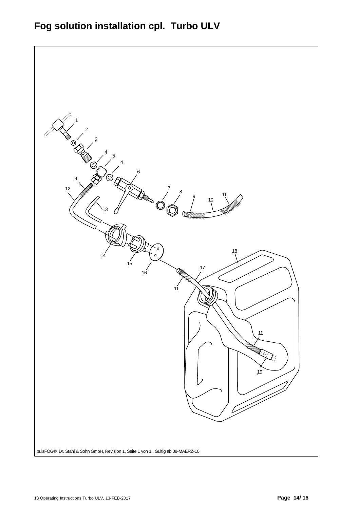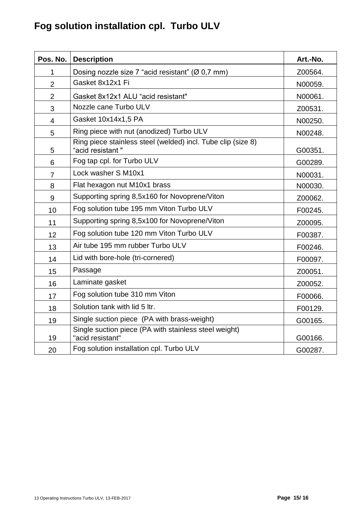# **Fog solution installation cpl. Turbo ULV**

| Pos. No.       | <b>Description</b>                                                               | Art.-No. |
|----------------|----------------------------------------------------------------------------------|----------|
| 1              | Dosing nozzle size 7 "acid resistant" (Ø 0,7 mm)                                 | Z00564.  |
| $\overline{2}$ | Gasket 8x12x1 Fi                                                                 | N00059.  |
| $\overline{2}$ | Gasket 8x12x1 ALU "acid resistant"                                               | N00061.  |
| 3              | Nozzle cane Turbo ULV                                                            | Z00531.  |
| 4              | Gasket 10x14x1,5 PA                                                              | N00250.  |
| 5              | Ring piece with nut (anodized) Turbo ULV                                         | N00248.  |
| 5              | Ring piece stainless steel (welded) incl. Tube clip (size 8)<br>"acid resistant" | G00351.  |
| 6              | Fog tap cpl. for Turbo ULV                                                       | G00289.  |
| $\overline{7}$ | Lock washer S M10x1                                                              | N00031.  |
| 8              | Flat hexagon nut M10x1 brass                                                     | N00030.  |
| 9              | Supporting spring 8,5x160 for Novoprene/Viton                                    | Z00062.  |
| 10             | Fog solution tube 195 mm Viton Turbo ULV                                         | F00245.  |
| 11             | Supporting spring 8,5x100 for Novoprene/Viton                                    | Z00095.  |
| 12             | Fog solution tube 120 mm Viton Turbo ULV                                         | F00387.  |
| 13             | Air tube 195 mm rubber Turbo ULV                                                 | F00246.  |
| 14             | Lid with bore-hole (tri-cornered)                                                | F00097.  |
| 15             | Passage                                                                          | Z00051.  |
| 16             | Laminate gasket                                                                  | Z00052.  |
| 17             | Fog solution tube 310 mm Viton                                                   | F00066.  |
| 18             | Solution tank with lid 5 ltr.                                                    | F00129.  |
| 19             | Single suction piece (PA with brass-weight)                                      | G00165.  |
| 19             | Single suction piece (PA with stainless steel weight)<br>"acid resistant"        | G00166.  |
| 20             | Fog solution installation cpl. Turbo ULV                                         | G00287.  |